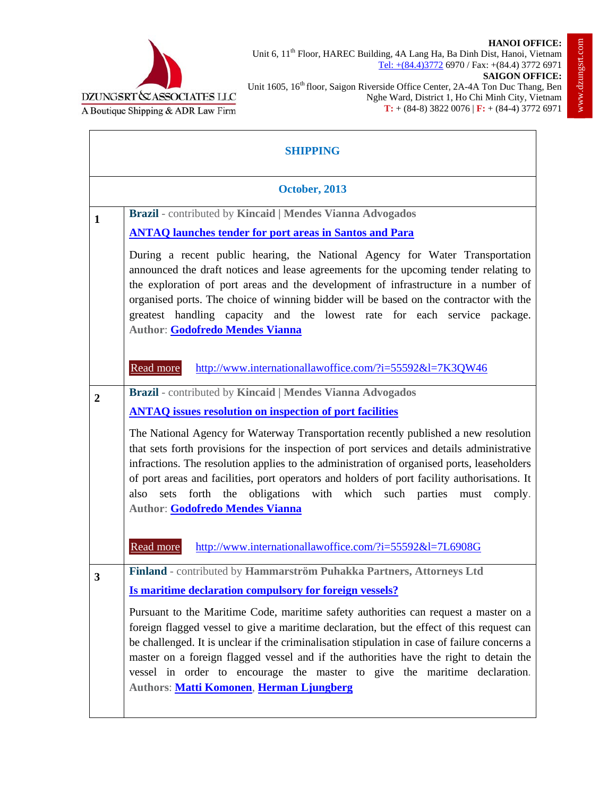



Unit 6, 11<sup>th</sup> Floor, HAREC Building, 4A Lang Ha, Ba Dinh Dist, Hanoi, Vietnam Tel: +(84.4)3772 6970 / Fax: +(84.4) 3772 6971 **SAIGON OFFICE:**

Unit 1605, 16<sup>th</sup> floor, Saigon Riverside Office Center, 2A-4A Ton Duc Thang, Ben

| UNGSRT & ASSOCIATES LLC<br>Joutique Shipping & ADR Law Firm                 | Nghe Ward, District 1, Ho Chi Minh City, Vietnam<br>$T: + (84-8) 3822 0076   F: + (84-4) 3772 6971$                                                                                                                                                                                                                                                                                                                                                       |
|-----------------------------------------------------------------------------|-----------------------------------------------------------------------------------------------------------------------------------------------------------------------------------------------------------------------------------------------------------------------------------------------------------------------------------------------------------------------------------------------------------------------------------------------------------|
|                                                                             | <b>SHIPPING</b>                                                                                                                                                                                                                                                                                                                                                                                                                                           |
| <b>October, 2013</b>                                                        |                                                                                                                                                                                                                                                                                                                                                                                                                                                           |
| Brazil - contributed by Kincaid   Mendes Vianna Advogados<br>$\mathbf{1}$   |                                                                                                                                                                                                                                                                                                                                                                                                                                                           |
| <b>ANTAQ launches tender for port areas in Santos and Para</b>              |                                                                                                                                                                                                                                                                                                                                                                                                                                                           |
| Author: Godofredo Mendes Vianna                                             | During a recent public hearing, the National Agency for Water Transportation<br>announced the draft notices and lease agreements for the upcoming tender relating to<br>the exploration of port areas and the development of infrastructure in a number of<br>organised ports. The choice of winning bidder will be based on the contractor with the<br>greatest handling capacity and the lowest rate for each service package.                          |
| Read more                                                                   | http://www.internationallawoffice.com/?i=55592&l=7K3QW46                                                                                                                                                                                                                                                                                                                                                                                                  |
| Brazil - contributed by Kincaid   Mendes Vianna Advogados<br>$\overline{2}$ |                                                                                                                                                                                                                                                                                                                                                                                                                                                           |
| <b>ANTAQ</b> issues resolution on inspection of port facilities             |                                                                                                                                                                                                                                                                                                                                                                                                                                                           |
| also<br>forth<br>sets<br>the<br>Author: Godofredo Mendes Vianna             | The National Agency for Waterway Transportation recently published a new resolution<br>that sets forth provisions for the inspection of port services and details administrative<br>infractions. The resolution applies to the administration of organised ports, leaseholders<br>of port areas and facilities, port operators and holders of port facility authorisations. It<br>obligations with<br>which such parties<br>must<br>comply.               |
| Read more                                                                   | http://www.internationallawoffice.com/?i=55592&l=7L6908G                                                                                                                                                                                                                                                                                                                                                                                                  |
| $\overline{\mathbf{3}}$                                                     | Finland - contributed by Hammarström Puhakka Partners, Attorneys Ltd                                                                                                                                                                                                                                                                                                                                                                                      |
| Is maritime declaration compulsory for foreign vessels?                     |                                                                                                                                                                                                                                                                                                                                                                                                                                                           |
| Authors: Matti Komonen, Herman Ljungberg                                    | Pursuant to the Maritime Code, maritime safety authorities can request a master on a<br>foreign flagged vessel to give a maritime declaration, but the effect of this request can<br>be challenged. It is unclear if the criminalisation stipulation in case of failure concerns a<br>master on a foreign flagged vessel and if the authorities have the right to detain the<br>vessel in order to encourage the master to give the maritime declaration. |